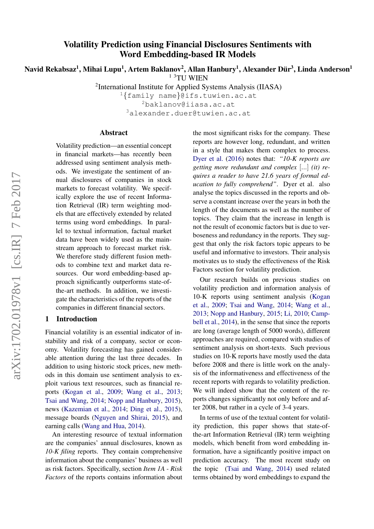# Volatility Prediction using Financial Disclosures Sentiments with Word Embedding-based IR Models

Navid Rekabsaz<sup>1</sup>, Mihai Lupu<sup>1</sup>, Artem Baklanov<sup>2</sup>, Allan Hanbury<sup>1</sup>, Alexander Dür<sup>3</sup>, Linda Anderson<sup>1</sup> 1 3TU WIEN

<sup>2</sup>International Institute for Applied Systems Analysis (IIASA)

<sup>1</sup>{family name}@ifs.tuwien.ac.at <sup>2</sup>baklanov@iiasa.ac.at

<sup>3</sup>alexander.duer@tuwien.ac.at

## Abstract

Volatility prediction—an essential concept in financial markets—has recently been addressed using sentiment analysis methods. We investigate the sentiment of annual disclosures of companies in stock markets to forecast volatility. We specifically explore the use of recent Information Retrieval (IR) term weighting models that are effectively extended by related terms using word embeddings. In parallel to textual information, factual market data have been widely used as the mainstream approach to forecast market risk. We therefore study different fusion methods to combine text and market data resources. Our word embedding-based approach significantly outperforms state-ofthe-art methods. In addition, we investigate the characteristics of the reports of the companies in different financial sectors.

## 1 Introduction

Financial volatility is an essential indicator of instability and risk of a company, sector or economy. Volatility forecasting has gained considerable attention during the last three decades. In addition to using historic stock prices, new methods in this domain use sentiment analysis to exploit various text resources, such as financial reports [\(Kogan et al.,](#page-8-0) [2009;](#page-8-0) [Wang et al.,](#page-9-0) [2013;](#page-9-0) [Tsai and Wang,](#page-9-1) [2014;](#page-9-1) [Nopp and Hanbury,](#page-8-1) [2015\)](#page-8-1), news [\(Kazemian et al.,](#page-8-2) [2014;](#page-8-2) [Ding et al.,](#page-8-3) [2015\)](#page-8-3), message boards [\(Nguyen and Shirai,](#page-8-4) [2015\)](#page-8-4), and earning calls [\(Wang and Hua,](#page-9-2) [2014\)](#page-9-2).

An interesting resource of textual information are the companies' annual disclosures, known as *10-K filing* reports. They contain comprehensive information about the companies' business as well as risk factors. Specifically, section *Item 1A - Risk Factors* of the reports contains information about

the most significant risks for the company. These reports are however long, redundant, and written in a style that makes them complex to process. [Dyer et al.](#page-8-5) [\(2016\)](#page-8-5) notes that: *"10-K reports are getting more redundant and complex* [...] *(it) requires a reader to have 21.6 years of formal education to fully comprehend"*. Dyer et al. also analyse the topics discussed in the reports and observe a constant increase over the years in both the length of the documents as well as the number of topics. They claim that the increase in length is not the result of economic factors but is due to verboseness and redundancy in the reports. They suggest that only the risk factors topic appears to be useful and informative to investors. Their analysis motivates us to study the effectiveness of the Risk Factors section for volatility prediction.

Our research builds on previous studies on volatility prediction and information analysis of 10-K reports using sentiment analysis [\(Kogan](#page-8-0) [et al.,](#page-8-0) [2009;](#page-8-0) [Tsai and Wang,](#page-9-1) [2014;](#page-9-1) [Wang et al.,](#page-9-0) [2013;](#page-9-0) [Nopp and Hanbury,](#page-8-1) [2015;](#page-8-1) [Li,](#page-8-6) [2010;](#page-8-6) [Camp](#page-8-7)[bell et al.,](#page-8-7) [2014\)](#page-8-7), in the sense that since the reports are long (average length of 5000 words), different approaches are required, compared with studies of sentiment analysis on short-texts. Such previous studies on 10-K reports have mostly used the data before 2008 and there is little work on the analysis of the informativeness and effectiveness of the recent reports with regards to volatility prediction. We will indeed show that the content of the reports changes significantly not only before and after 2008, but rather in a cycle of 3-4 years.

In terms of use of the textual content for volatility prediction, this paper shows that state-ofthe-art Information Retrieval (IR) term weighting models, which benefit from word embedding information, have a significantly positive impact on prediction accuracy. The most recent study on the topic [\(Tsai and Wang,](#page-9-1) [2014\)](#page-9-1) used related terms obtained by word embeddings to expand the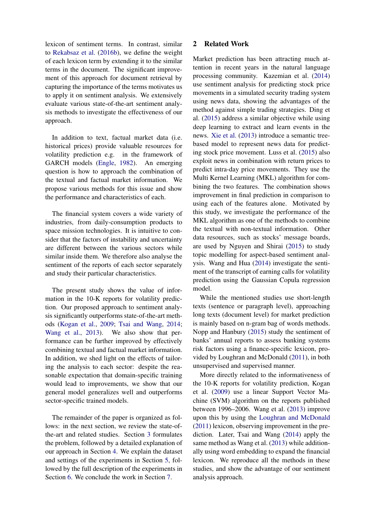lexicon of sentiment terms. In contrast, similar to [Rekabsaz et al.](#page-8-8) [\(2016b\)](#page-8-8), we define the weight of each lexicon term by extending it to the similar terms in the document. The significant improvement of this approach for document retrieval by capturing the importance of the terms motivates us to apply it on sentiment analysis. We extensively evaluate various state-of-the-art sentiment analysis methods to investigate the effectiveness of our approach.

In addition to text, factual market data (i.e. historical prices) provide valuable resources for volatility prediction e.g. in the framework of GARCH models [\(Engle,](#page-8-9) [1982\)](#page-8-9). An emerging question is how to approach the combination of the textual and factual market information. We propose various methods for this issue and show the performance and characteristics of each.

The financial system covers a wide variety of industries, from daily-consumption products to space mission technologies. It is intuitive to consider that the factors of instability and uncertainty are different between the various sectors while similar inside them. We therefore also analyse the sentiment of the reports of each sector separately and study their particular characteristics.

The present study shows the value of information in the 10-K reports for volatility prediction. Our proposed approach to sentiment analysis significantly outperforms state-of-the-art methods [\(Kogan et al.,](#page-8-0) [2009;](#page-8-0) [Tsai and Wang,](#page-9-1) [2014;](#page-9-1) [Wang et al.,](#page-9-0) [2013\)](#page-9-0). We also show that performance can be further improved by effectively combining textual and factual market information. In addition, we shed light on the effects of tailoring the analysis to each sector: despite the reasonable expectation that domain-specific training would lead to improvements, we show that our general model generalizes well and outperforms sector-specific trained models.

The remainder of the paper is organized as follows: in the next section, we review the state-ofthe-art and related studies. Section [3](#page-2-0) formulates the problem, followed by a detailed explanation of our approach in Section [4.](#page-2-1) We explain the dataset and settings of the experiments in Section [5,](#page-4-0) followed by the full description of the experiments in Section [6.](#page-4-1) We conclude the work in Section [7.](#page-7-0)

## 2 Related Work

Market prediction has been attracting much attention in recent years in the natural language processing community. Kazemian et al. [\(2014\)](#page-8-2) use sentiment analysis for predicting stock price movements in a simulated security trading system using news data, showing the advantages of the method against simple trading strategies. Ding et al. [\(2015\)](#page-8-3) address a similar objective while using deep learning to extract and learn events in the news. [Xie et al.](#page-9-3) [\(2013\)](#page-9-3) introduce a semantic treebased model to represent news data for predicting stock price movement. Luss et al. [\(2015\)](#page-8-10) also exploit news in combination with return prices to predict intra-day price movements. They use the Multi Kernel Learning (MKL) algorithm for combining the two features. The combination shows improvement in final prediction in comparison to using each of the features alone. Motivated by this study, we investigate the performance of the MKL algorithm as one of the methods to combine the textual with non-textual information. Other data resources, such as stocks' message boards, are used by Nguyen and Shirai [\(2015\)](#page-8-4) to study topic modelling for aspect-based sentiment analysis. Wang and Hua [\(2014\)](#page-9-2) investigate the sentiment of the transcript of earning calls for volatility prediction using the Gaussian Copula regression model.

While the mentioned studies use short-length texts (sentence or paragraph level), approaching long texts (document level) for market prediction is mainly based on n-gram bag of words methods. Nopp and Hanbury [\(2015\)](#page-8-1) study the sentiment of banks' annual reports to assess banking systems risk factors using a finance-specific lexicon, provided by Loughran and McDonald [\(2011\)](#page-8-11), in both unsupervised and supervised manner.

More directly related to the informativeness of the 10-K reports for volatility prediction, Kogan et al. [\(2009\)](#page-8-0) use a linear Support Vector Machine (SVM) algorithm on the reports published between 1996–2006. Wang et al. [\(2013\)](#page-9-0) improve upon this by using the [Loughran and McDonald](#page-8-11) [\(2011\)](#page-8-11) lexicon, observing improvement in the prediction. Later, Tsai and Wang [\(2014\)](#page-9-1) apply the same method as Wang et al. [\(2013\)](#page-9-0) while additionally using word embedding to expand the financial lexicon. We reproduce all the methods in these studies, and show the advantage of our sentiment analysis approach.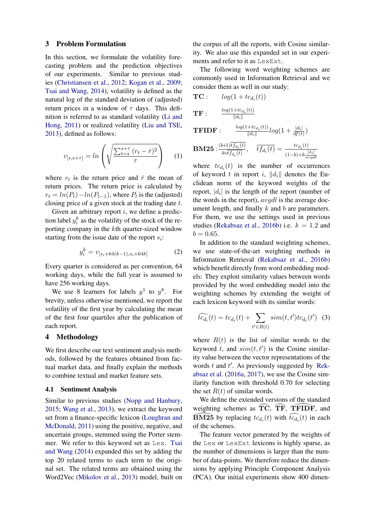#### <span id="page-2-0"></span>3 Problem Formulation

In this section, we formulate the volatility forecasting problem and the prediction objectives of our experiments. Similar to previous studies [\(Christiansen et al.,](#page-8-12) [2012;](#page-8-12) [Kogan et al.,](#page-8-0) [2009;](#page-8-0) [Tsai and Wang,](#page-9-1) [2014\)](#page-9-1), volatility is defined as the natural log of the standard deviation of (adjusted) return prices in a window of  $\tau$  days. This definition is referred to as standard volatility [\(Li and](#page-8-13) [Hong,](#page-8-13) [2011\)](#page-8-13) or realized volatility [\(Liu and TSE,](#page-8-14) [2013\)](#page-8-14), defined as follows:

<span id="page-2-2"></span>
$$
v_{[s,s+\tau]} = \ln\left(\sqrt{\frac{\sum_{t=s}^{s+\tau} (r_t - \bar{r})^2}{\tau}}\right) \tag{1}
$$

where  $r_t$  is the return price and  $\bar{r}$  the mean of return prices. The return price is calculated by  $r_t = ln(P_t) - ln(P_{t-1})$ , where  $P_t$  is the (adjusted) closing price of a given stock at the trading date  $t$ .

Given an arbitrary report  $i$ , we define a prediction label  $y_i^k$  as the volatility of the stock of the reporting company in the kth quarter-sized window starting from the issue date of the report  $s_i$ :

$$
y_i^k = v_{[s_i + 64(k-1), s_i + 64k]} \tag{2}
$$

Every quarter is considered as per convention, 64 working days, while the full year is assumed to have 256 working days.

We use 8 learners for labels  $y^1$  to  $y^8$ . For brevity, unless otherwise mentioned, we report the volatility of the first year by calculating the mean of the first four quartiles after the publication of each report.

### <span id="page-2-1"></span>4 Methodology

We first describe our text sentiment analysis methods, followed by the features obtained from factual market data, and finally explain the methods to combine textual and market feature sets.

#### 4.1 Sentiment Analysis

Similar to previous studies [\(Nopp and Hanbury,](#page-8-1) [2015;](#page-8-1) [Wang et al.,](#page-9-0) [2013\)](#page-9-0), we extract the keyword set from a finance-specific lexicon [\(Loughran and](#page-8-11) [McDonald,](#page-8-11) [2011\)](#page-8-11) using the positive, negative, and uncertain groups, stemmed using the Porter stemmer. We refer to this keyword set as Lex. [Tsai](#page-9-1) [and Wang](#page-9-1) [\(2014\)](#page-9-1) expanded this set by adding the top 20 related terms to each term to the original set. The related terms are obtained using the Word2Vec [\(Mikolov et al.,](#page-8-15) [2013\)](#page-8-15) model, built on the corpus of all the reports, with Cosine similarity. We also use this expanded set in our experiments and refer to it as LexExt.

The following word weighting schemes are commonly used in Information Retrieval and we consider them as well in our study:

$$
TC: log(1 + tc_{d_i}(t))
$$

$$
\mathbf{TF}:\qquad\frac{log(1+tc_{d_i}(t))}{\|d_i\|}
$$

TFIDF :

**BM25**: 
$$
\frac{(k+1)\overline{tf_{d_i}(t)}}{k\overline{tf_{d_i}(t)}}
$$
,  $\overline{tf_{d_i}(t)} = \frac{tc_{d_i}(t)}{(1-b)+b\frac{|d_i|}{avgdl}}$ 

 $\frac{+tc_{d_i}(t))}{\|d_i\|}log(1+\frac{|d_i|}{df(t)})$ 

 $log(1+tc_{d_i}(t))$ 

where  $tc_{d_i}(t)$  is the number of occurrences of keyword t in report i,  $||d_i||$  denotes the Euclidean norm of the keyword weights of the report,  $|d_i|$  is the length of the report (number of the words in the report),  $avgdl$  is the average document length, and finally  $k$  and  $b$  are parameters. For them, we use the settings used in previous studies [\(Rekabsaz et al.,](#page-8-8) [2016b\)](#page-8-8) i.e.  $k = 1.2$  and  $b = 0.65$ .

In addition to the standard weighting schemes, we use state-of-the-art weighting methods in Information Retrieval [\(Rekabsaz et al.,](#page-8-8) [2016b\)](#page-8-8) which benefit directly from word embedding models: They exploit similarity values between words provided by the word embedding model into the weighting schemes by extending the weight of each lexicon keyword with its similar words:

$$
\widehat{tc_{d_i}}(t) = tc_{d_i}(t) + \sum_{t' \in R(t)} sim(t, t') tc_{d_i}(t') \quad (3)
$$

where  $R(t)$  is the list of similar words to the keyword t, and  $sim(t, t')$  is the Cosine similarity value between the vector representations of the words  $t$  and  $t'$ . As previously suggested by [Rek](#page-8-16)[absaz et al.](#page-8-16) [\(2016a,](#page-8-16) [2017\)](#page-9-4), we use the Cosine similarity function with threshold 0.70 for selecting the set  $R(t)$  of similar words.

We define the extended versions of the standard weighting schemes as  $\overline{\text{TC}}$ ,  $\overline{\text{TF}}$ ,  $\overline{\text{TFIDF}}$ , and **BM25** by replacing  $tc_{d_i}(t)$  with  $tc_{d_i}(t)$  in each of the schemes.

The feature vector generated by the weights of the Lex or LexExt lexicons is highly sparse, as the number of dimensions is larger than the number of data-points. We therefore reduce the dimensions by applying Principle Component Analysis (PCA). Our initial experiments show 400 dimen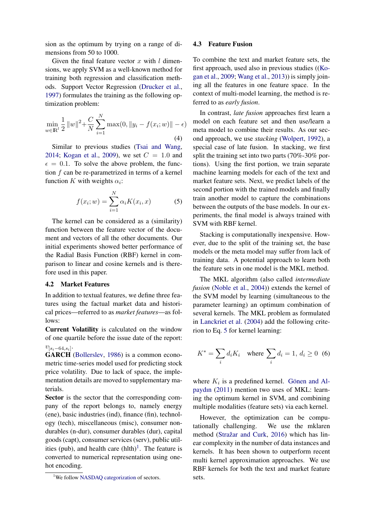sion as the optimum by trying on a range of dimensions from 50 to 1000.

Given the final feature vector x with  $l$  dimensions, we apply SVM as a well-known method for training both regression and classification methods. Support Vector Regression [\(Drucker et al.,](#page-8-17) [1997\)](#page-8-17) formulates the training as the following optimization problem:

$$
\min_{w \in \mathbb{R}^l} \frac{1}{2} ||w||^2 + \frac{C}{N} \sum_{i=1}^N \max(0, ||y_i - f(x_i; w)|| - \epsilon)
$$
\n(4)

Similar to previous studies [\(Tsai and Wang,](#page-9-1) [2014;](#page-9-1) [Kogan et al.,](#page-8-0) [2009\)](#page-8-0), we set  $C = 1.0$  and  $\epsilon = 0.1$ . To solve the above problem, the function  $f$  can be re-parametrized in terms of a kernel function K with weights  $\alpha_i$ :

<span id="page-3-1"></span>
$$
f(x_i; w) = \sum_{i=1}^{N} \alpha_i K(x_i, x)
$$
 (5)

The kernel can be considered as a (similarity) function between the feature vector of the document and vectors of all the other documents. Our initial experiments showed better performance of the Radial Basis Function (RBF) kernel in comparison to linear and cosine kernels and is therefore used in this paper.

#### <span id="page-3-2"></span>4.2 Market Features

terials.

In addition to textual features, we define three features using the factual market data and historical prices—referred to as *market features*—as follows:

Current Volatility is calculated on the window of one quartile before the issue date of the report:

 $v_{[s_i-64,s_i]}$ . GARCH [\(Bollerslev,](#page-8-18) [1986\)](#page-8-18) is a common econometric time-series model used for predicting stock price volatility. Due to lack of space, the implementation details are moved to supplementary ma-

Sector is the sector that the corresponding company of the report belongs to, namely energy (ene), basic industries (ind), finance (fin), technology (tech), miscellaneous (misc), consumer nondurables (n-dur), consumer durables (dur), capital goods (capt), consumer services (serv), public utilities (pub), and health care  $(hlth)^{1}$  $(hlth)^{1}$  $(hlth)^{1}$ . The feature is converted to numerical representation using onehot encoding.

#### 4.3 Feature Fusion

To combine the text and market feature sets, the first approach, used also in previous studies ([\(Ko](#page-8-0)[gan et al.,](#page-8-0) [2009;](#page-8-0) [Wang et al.,](#page-9-0) [2013\)](#page-9-0)) is simply joining all the features in one feature space. In the context of multi-model learning, the method is referred to as *early fusion*.

In contrast, *late fusion* approaches first learn a model on each feature set and then use/learn a meta model to combine their results. As our second approach, we use *stacking* [\(Wolpert,](#page-9-5) [1992\)](#page-9-5), a special case of late fusion. In stacking, we first split the training set into two parts (70%-30% portions). Using the first portion, we train separate machine learning models for each of the text and market feature sets. Next, we predict labels of the second portion with the trained models and finally train another model to capture the combinations between the outputs of the base models. In our experiments, the final model is always trained with SVM with RBF kernel.

Stacking is computationally inexpensive. However, due to the split of the training set, the base models or the meta model may suffer from lack of training data. A potential approach to learn both the feature sets in one model is the MKL method.

The MKL algorithm (also called *intermediate fusion* [\(Noble et al.,](#page-8-19) [2004\)](#page-8-19)) extends the kernel of the SVM model by learning (simultaneous to the parameter learning) an optimum combination of several kernels. The MKL problem as formulated in [Lanckriet et al.](#page-8-20) [\(2004\)](#page-8-20) add the following criterion to Eq. [5](#page-3-1) for kernel learning:

$$
K^* = \sum_i d_i K_i \quad \text{where } \sum_i d_i = 1, \ d_i \ge 0 \tag{6}
$$

where  $K_i$  is a predefined kernel. Gönen and Al[paydın](#page-8-21) [\(2011\)](#page-8-21) mention two uses of MKL: learning the optimum kernel in SVM, and combining multiple modalities (feature sets) via each kernel.

However, the optimization can be computationally challenging. We use the mklaren method (Stražar and Curk, [2016\)](#page-9-6) which has linear complexity in the number of data instances and kernels. It has been shown to outperform recent multi kernel approximation approaches. We use RBF kernels for both the text and market feature sets.

<span id="page-3-0"></span><sup>&</sup>lt;sup>1</sup>We follow [NASDAQ categorization](http://www.nasdaq.com/screening/industries.aspx) of sectors.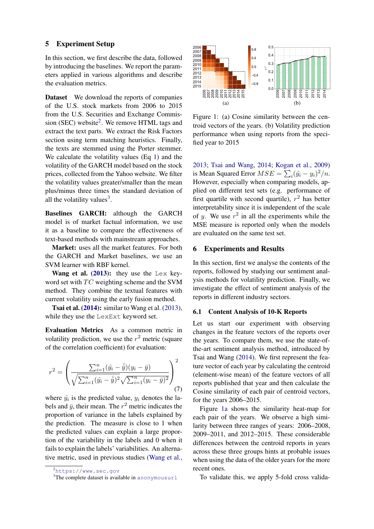### <span id="page-4-0"></span>5 Experiment Setup

In this section, we first describe the data, followed by introducing the baselines. We report the parameters applied in various algorithms and describe the evaluation metrics.

Dataset We download the reports of companies of the U.S. stock markets from 2006 to 2015 from the U.S. Securities and Exchange Commis-sion (SEC) website<sup>[2](#page-4-2)</sup>. We remove HTML tags and extract the text parts. We extract the Risk Factors section using term matching heuristics. Finally, the texts are stemmed using the Porter stemmer. We calculate the volatility values (Eq [1\)](#page-2-2) and the volatility of the GARCH model based on the stock prices, collected from the Yahoo website. We filter the volatility values greater/smaller than the mean plus/minus three times the standard deviation of all the volatility values<sup>[3](#page-4-3)</sup>. **taset Ve download the reports of companies**<br> **SERVIONES AND AND AND COMPART CONSECT UNET AND CONSECT UNET (0) Consisted in (16EC) websited. We remove HTML tags and Exchange commis-<br>
In the U.S. Securities and Exchange Co** 

Baselines GARCH: although the GARCH model is of market factual information, we use it as a baseline to compare the effectiveness of text-based methods with mainstream approaches.

Market: uses all the market features. For both the GARCH and Market baselines, we use an SVM learner with RBF kernel.

Wang et al.  $(2013)$ : they use the Lex keyword set with  $TC$  weighting scheme and the SVM method. They combine the textual features with current volatility using the early fusion method.

**Tsai et al. [\(2014\)](#page-9-1):** similar to Wang et al. [\(2013\)](#page-9-0), while they use the LexExt keyword set.

Evaluation Metrics As a common metric in volatility prediction, we use the  $r^2$  metric (square of the correlation coefficient) for evaluation:

$$
r^{2} = \left(\frac{\sum_{i=1}^{n} (\hat{y}_{i} - \bar{\hat{y}})(y_{i} - \bar{y})}{\sqrt{\sum_{i=1}^{n} (\hat{y}_{i} - \bar{\hat{y}})^{2}} \sqrt{\sum_{i=1}^{n} (y_{i} - \bar{y})^{2}}}\right)^{2}
$$
(7)

where  $\hat{y}_i$  is the predicted value,  $y_i$  denotes the labels and  $\bar{y}$ , their mean. The  $r^2$  metric indicates the proportion of variance in the labels explained by the prediction. The measure is close to 1 when the predicted values can explain a large proportion of the variability in the labels and 0 when it fails to explain the labels' variabilities. An alternative metric, used in previous studies [\(Wang et al.,](#page-9-0)

<span id="page-4-4"></span>

<span id="page-4-5"></span>Figure 1: (a) Cosine similarity between the centroid vectors of the years. (b) Volatility prediction performance when using reports from the specified year to 2015

[2013;](#page-9-0) [Tsai and Wang,](#page-9-1) [2014;](#page-9-1) [Kogan et al.,](#page-8-0) [2009\)](#page-8-0) is Mean Squared Error  $MSE = \sum_i (\hat{y}_i - y_i)^2/n$ . However, especially when comparing models, applied on different test sets (e.g. performance of first quartile with second quartile),  $r^2$  has better interpretability since it is independent of the scale of y. We use  $r^2$  in all the experiments while the MSE measure is reported only when the models are evaluated on the same test set.

#### <span id="page-4-1"></span>6 Experiments and Results

In this section, first we analyse the contents of the reports, followed by studying our sentiment analysis methods for volatility prediction. Finally, we investigate the effect of sentiment analysis of the reports in different industry sectors.

## 6.1 Content Analysis of 10-K Reports

Let us start our experiment with observing changes in the feature vectors of the reports over the years. To compare them, we use the state-ofthe-art sentiment analysis method, introduced by Tsai and Wang [\(2014\)](#page-9-1). We first represent the feature vector of each year by calculating the centroid (element-wise mean) of the feature vectors of all reports published that year and then calculate the Cosine similarity of each pair of centroid vectors, for the years 2006–2015.

Figure [1a](#page-4-4) shows the similarity heat-map for each pair of the years. We observe a high similarity between three ranges of years: 2006–2008, 2009–2011, and 2012–2015. These considerable differences between the centroid reports in years across these three groups hints at probable issues when using the data of the older years for the more recent ones.

To validate this, we apply 5-fold cross valida-

<span id="page-4-2"></span><sup>2</sup><https://www.sec.gov>

<span id="page-4-3"></span>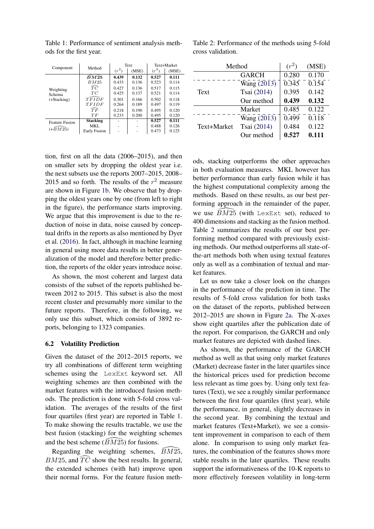| Component                            | Method                   | Text    |       | Text+Market |       |
|--------------------------------------|--------------------------|---------|-------|-------------|-------|
|                                      |                          | $(r^2)$ | (MSE) | $(r^2)$     | (MSE) |
| Weighting<br>Schema<br>$(+Stacking)$ | $\tilde{B}M25$           | 0.439   | 0.132 | 0.527       | 0.111 |
|                                      | BM25                     | 0.433   | 0.136 | 0.523       | 0.114 |
|                                      | $\widehat{TC}$           | 0.427   | 0.136 | 0.517       | 0.115 |
|                                      | TC                       | 0.425   | 0.137 | 0.521       | 0.114 |
|                                      | TFIDF                    | 0.301   | 0.166 | 0.502       | 0.118 |
|                                      | TFIDF                    | 0.264   | 0.189 | 0.497       | 0.119 |
|                                      | $\widehat{T}\widehat{F}$ | 0.218   | 0.190 | 0.495       | 0.120 |
|                                      | TF                       | 0.233   | 0.200 | 0.495       | 0.120 |
| <b>Feature Fusion</b><br>$(+BM25)$   | <b>Stacking</b>          |         |       | 0.527       | 0.111 |
|                                      | MKL.                     | ۰       | ۰     | 0.488       | 0.126 |
|                                      | <b>Early Fusion</b>      |         |       | 0.473       | 0.125 |

<span id="page-5-0"></span>Table 1: Performance of sentiment analysis methods for the first year.

<span id="page-5-1"></span>Table 2: Performance of the methods using 5-fold cross validation.

tion, first on all the data (2006–2015), and then on smaller sets by dropping the oldest year i.e. the next subsets use the reports 2007–2015, 2008– 2015 and so forth. The results of the  $r^2$  measure are shown in Figure [1b.](#page-4-5) We observe that by dropping the oldest years one by one (from left to right in the figure), the performance starts improving. We argue that this improvement is due to the reduction of noise in data, noise caused by conceptual drifts in the reports as also mentioned by Dyer et al. [\(2016\)](#page-8-5). In fact, although in machine learning in general using more data results in better generalization of the model and therefore better prediction, the reports of the older years introduce noise.

As shown, the most coherent and largest data consists of the subset of the reports published between 2012 to 2015. This subset is also the most recent cluster and presumably more similar to the future reports. Therefore, in the following, we only use this subset, which consists of 3892 reports, belonging to 1323 companies.

## 6.2 Volatility Prediction

Given the dataset of the 2012–2015 reports, we try all combinations of different term weighting schemes using the LexExt keyword set. All weighting schemes are then combined with the market features with the introduced fusion methods. The prediction is done with 5-fold cross validation. The averages of the results of the first four quartiles (first year) are reported in Table [1.](#page-5-0) To make showing the results tractable, we use the best fusion (stacking) for the weighting schemes and the best scheme  $(BM25)$  for fusions.

Regarding the weighting schemes,  $\bar{B}M2\bar{5}$ ,  $BM25$ , and  $TC$  show the best results. In general, the extended schemes (with hat) improve upon their normal forms. For the feature fusion meth-

| Method      |                          | $(r^2)$            | (MSE)              |
|-------------|--------------------------|--------------------|--------------------|
|             | <b>GARCH</b>             | 0.280              | 0.170              |
|             | Wang $\overline{(2013)}$ | $\overline{0.345}$ | $\overline{0.154}$ |
| Text        | Tsai (2014)              | 0.395              | 0.142              |
|             | Our method               | 0.439              | 0.132              |
|             | Market                   | 0.485              | 0.122              |
|             | Wang $(20\overline{13})$ | 0.499              | 0.118              |
| Text+Market | Tsai (2014)              | 0.484              | 0.122              |
|             | Our method               | 0.527              | 0.111              |

ods, stacking outperforms the other approaches in both evaluation measures. MKL however has better performance than early fusion while it has the highest computational complexity among the methods. Based on these results, as our best performing approach in the remainder of the paper, we use  $\widehat{BM25}$  (with LexExt set), reduced to 400 dimensions and stacking as the fusion method. Table [2](#page-5-1) summarizes the results of our best performing method compared with previously existing methods. Our method outperforms all state-ofthe-art methods both when using textual features only as well as a combination of textual and market features.

Let us now take a closer look on the changes in the performance of the prediction in time. The results of 5-fold cross validation for both tasks on the dataset of the reports, published between 2012–2015 are shown in Figure [2a.](#page-6-0) The X-axes show eight quartiles after the publication date of the report. For comparison, the GARCH and only market features are depicted with dashed lines.

As shown, the performance of the GARCH method as well as that using only market features (Market) decrease faster in the later quartiles since the historical prices used for prediction become less relevant as time goes by. Using only text features (Text), we see a roughly similar performance between the first four quartiles (first year), while the performance, in general, slightly decreases in the second year. By combining the textual and market features (Text+Market), we see a consistent improvement in comparison to each of them alone. In comparison to using only market features, the combination of the features shows more stable results in the later quartiles. These results support the informativeness of the 10-K reports to more effectively foreseen volatility in long-term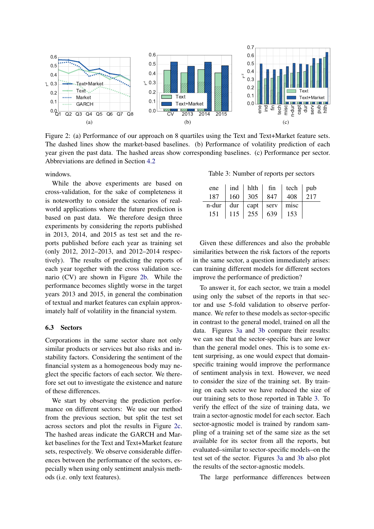<span id="page-6-0"></span>

Figure 2: (a) Performance of our approach on 8 quartiles using the Text and Text+Market feature sets. The dashed lines show the market-based baselines. (b) Performance of volatility prediction of each year given the past data. The hashed areas show corresponding baselines. (c) Performance per sector. Abbreviations are defined in Section [4.2](#page-3-2)

windows.

While the above experiments are based on cross-validation, for the sake of completeness it is noteworthy to consider the scenarios of realworld applications where the future prediction is based on past data. We therefore design three experiments by considering the reports published in 2013, 2014, and 2015 as test set and the reports published before each year as training set (only 2012, 2012–2013, and 2012–2014 respectively). The results of predicting the reports of each year together with the cross validation scenario (CV) are shown in Figure [2b.](#page-6-1) While the performance becomes slightly worse in the target years 2013 and 2015, in general the combination of textual and market features can explain approximately half of volatility in the financial system.

## 6.3 Sectors

Corporations in the same sector share not only similar products or services but also risks and instability factors. Considering the sentiment of the financial system as a homogeneous body may neglect the specific factors of each sector. We therefore set out to investigate the existence and nature of these differences.

We start by observing the prediction performance on different sectors: We use our method from the previous section, but split the test set across sectors and plot the results in Figure [2c.](#page-6-2) The hashed areas indicate the GARCH and Market baselines for the Text and Text+Market feature sets, respectively. We observe considerable differences between the performance of the sectors, especially when using only sentiment analysis methods (i.e. only text features).

<span id="page-6-3"></span><span id="page-6-2"></span><span id="page-6-1"></span>Table 3: Number of reports per sectors

|                              |                             | ene $\vert$ ind $\vert$ hlth $\vert$ fin $\vert$ tech $\vert$ pub |     |
|------------------------------|-----------------------------|-------------------------------------------------------------------|-----|
| 187                          | 160   305   847             | $\vert$ 408                                                       | 217 |
| $n$ -dur   dur   capt   serv |                             | misc                                                              |     |
|                              | $151$   $115$   $255$   639 | 153                                                               |     |

Given these differences and also the probable similarities between the risk factors of the reports in the same sector, a question immediately arises: can training different models for different sectors improve the performance of prediction?

To answer it, for each sector, we train a model using only the subset of the reports in that sector and use 5-fold validation to observe performance. We refer to these models as sector-specific in contrast to the general model, trained on all the data. Figures [3a](#page-7-1) and [3b](#page-7-2) compare their results: we can see that the sector-specific bars are lower than the general model ones. This is to some extent surprising, as one would expect that domainspecific training would improve the performance of sentiment analysis in text. However, we need to consider the size of the training set. By training on each sector we have reduced the size of our training sets to those reported in Table [3.](#page-6-3) To verify the effect of the size of training data, we train a sector-agnostic model for each sector. Each sector-agnostic model is trained by random sampling of a training set of the same size as the set available for its sector from all the reports, but evaluated–similar to sector-specific models–on the test set of the sector. Figures [3a](#page-7-1) and [3b](#page-7-2) also plot the results of the sector-agnostic models.

The large performance differences between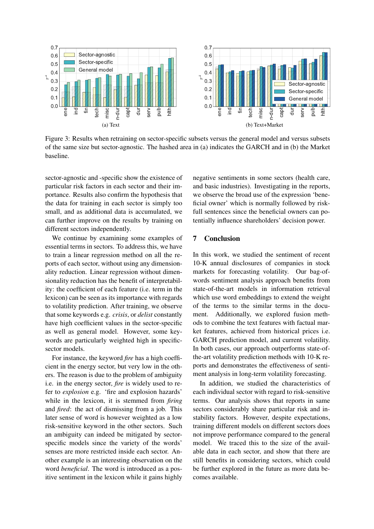<span id="page-7-1"></span>

Figure 3: Results when retraining on sector-specific subsets versus the general model and versus subsets of the same size but sector-agnostic. The hashed area in (a) indicates the GARCH and in (b) the Market baseline.

sector-agnostic and -specific show the existence of particular risk factors in each sector and their importance. Results also confirm the hypothesis that the data for training in each sector is simply too small, and as additional data is accumulated, we can further improve on the results by training on different sectors independently.

We continue by examining some examples of essential terms in sectors. To address this, we have to train a linear regression method on all the reports of each sector, without using any dimensionality reduction. Linear regression without dimensionality reduction has the benefit of interpretability: the coefficient of each feature (i.e. term in the lexicon) can be seen as its importance with regards to volatility prediction. After training, we observe that some keywords e.g. *crisis*, or *delist* constantly have high coefficient values in the sector-specific as well as general model. However, some keywords are particularly weighted high in specificsector models.

For instance, the keyword *fire* has a high coefficient in the energy sector, but very low in the others. The reason is due to the problem of ambiguity i.e. in the energy sector, *fire* is widely used to refer to *explosion* e.g. 'fire and explosion hazards' while in the lexicon, it is stemmed from *firing* and *fired*: the act of dismissing from a job. This later sense of word is however weighted as a low risk-sensitive keyword in the other sectors. Such an ambiguity can indeed be mitigated by sectorspecific models since the variety of the words' senses are more restricted inside each sector. Another example is an interesting observation on the word *beneficial*. The word is introduced as a positive sentiment in the lexicon while it gains highly

<span id="page-7-2"></span>negative sentiments in some sectors (health care, and basic industries). Investigating in the reports, we observe the broad use of the expression 'beneficial owner' which is normally followed by riskfull sentences since the beneficial owners can potentially influence shareholders' decision power.

## <span id="page-7-0"></span>7 Conclusion

In this work, we studied the sentiment of recent 10-K annual disclosures of companies in stock markets for forecasting volatility. Our bag-ofwords sentiment analysis approach benefits from state-of-the-art models in information retrieval which use word embeddings to extend the weight of the terms to the similar terms in the document. Additionally, we explored fusion methods to combine the text features with factual market features, achieved from historical prices i.e. GARCH prediction model, and current volatility. In both cases, our approach outperforms state-ofthe-art volatility prediction methods with 10-K reports and demonstrates the effectiveness of sentiment analysis in long-term volatility forecasting.

In addition, we studied the characteristics of each individual sector with regard to risk-sensitive terms. Our analysis shows that reports in same sectors considerably share particular risk and instability factors. However, despite expectations, training different models on different sectors does not improve performance compared to the general model. We traced this to the size of the available data in each sector, and show that there are still benefits in considering sectors, which could be further explored in the future as more data becomes available.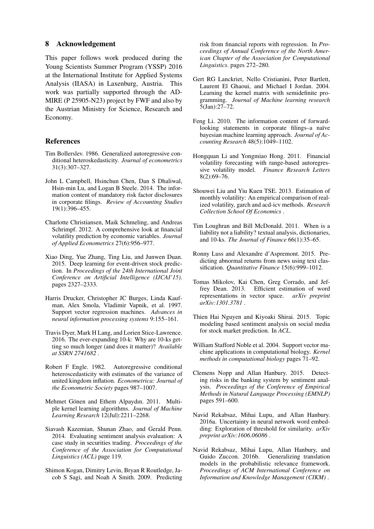#### 8 Acknowledgement

This paper follows work produced during the Young Scientists Summer Program (YSSP) 2016 at the International Institute for Applied Systems Analysis (IIASA) in Laxenburg, Austria. This work was partially supported through the AD-MIRE (P 25905-N23) project by FWF and also by the Austrian Ministry for Science, Research and Economy.

## References

- <span id="page-8-18"></span>Tim Bollerslev. 1986. Generalized autoregressive conditional heteroskedasticity. *Journal of econometrics* 31(3):307–327.
- <span id="page-8-7"></span>John L Campbell, Hsinchun Chen, Dan S Dhaliwal, Hsin-min Lu, and Logan B Steele. 2014. The information content of mandatory risk factor disclosures in corporate filings. *Review of Accounting Studies* 19(1):396–455.
- <span id="page-8-12"></span>Charlotte Christiansen, Maik Schmeling, and Andreas Schrimpf. 2012. A comprehensive look at financial volatility prediction by economic variables. *Journal of Applied Econometrics* 27(6):956–977.
- <span id="page-8-3"></span>Xiao Ding, Yue Zhang, Ting Liu, and Junwen Duan. 2015. Deep learning for event-driven stock prediction. In *Proceedings of the 24th International Joint Conference on Artificial Intelligence (IJCAI'15)*. pages 2327–2333.
- <span id="page-8-17"></span>Harris Drucker, Christopher JC Burges, Linda Kaufman, Alex Smola, Vladimir Vapnik, et al. 1997. Support vector regression machines. *Advances in neural information processing systems* 9:155–161.
- <span id="page-8-5"></span>Travis Dyer, Mark H Lang, and Lorien Stice-Lawrence. 2016. The ever-expanding 10-k: Why are 10-ks getting so much longer (and does it matter)? *Available at SSRN 2741682* .
- <span id="page-8-9"></span>Robert F Engle. 1982. Autoregressive conditional heteroscedasticity with estimates of the variance of united kingdom inflation. *Econometrica: Journal of the Econometric Society* pages 987–1007.
- <span id="page-8-21"></span>Mehmet Gönen and Ethem Alpaydın. 2011. Multiple kernel learning algorithms. *Journal of Machine Learning Research* 12(Jul):2211–2268.
- <span id="page-8-2"></span>Siavash Kazemian, Shunan Zhao, and Gerald Penn. 2014. Evaluating sentiment analysis evaluation: A case study in securities trading. *Proceedings of the Conference of the Association for Computational Linguistics (ACL)* page 119.
- <span id="page-8-0"></span>Shimon Kogan, Dimitry Levin, Bryan R Routledge, Jacob S Sagi, and Noah A Smith. 2009. Predicting

risk from financial reports with regression. In *Proceedings of Annual Conference of the North American Chapter of the Association for Computational Linguistics*. pages 272–280.

- <span id="page-8-20"></span>Gert RG Lanckriet, Nello Cristianini, Peter Bartlett, Laurent El Ghaoui, and Michael I Jordan. 2004. Learning the kernel matrix with semidefinite programming. *Journal of Machine learning research* 5(Jan):27–72.
- <span id="page-8-6"></span>Feng Li. 2010. The information content of forwardlooking statements in corporate filings–a naïve bayesian machine learning approach. *Journal of Accounting Research* 48(5):1049–1102.
- <span id="page-8-13"></span>Hongquan Li and Yongmiao Hong. 2011. Financial volatility forecasting with range-based autoregressive volatility model. *Finance Research Letters* 8(2):69–76.
- <span id="page-8-14"></span>Shouwei Liu and Yiu Kuen TSE. 2013. Estimation of monthly volatility: An empirical comparison of realized volatility, garch and acd-icv methods. *Research Collection School Of Economics* .
- <span id="page-8-11"></span>Tim Loughran and Bill McDonald. 2011. When is a liability not a liability? textual analysis, dictionaries, and 10-ks. *The Journal of Finance* 66(1):35–65.
- <span id="page-8-10"></span>Ronny Luss and Alexandre d'Aspremont. 2015. Predicting abnormal returns from news using text classification. *Quantitative Finance* 15(6):999–1012.
- <span id="page-8-15"></span>Tomas Mikolov, Kai Chen, Greg Corrado, and Jeffrey Dean. 2013. Efficient estimation of word representations in vector space. *arXiv preprint arXiv:1301.3781* .
- <span id="page-8-4"></span>Thien Hai Nguyen and Kiyoaki Shirai. 2015. Topic modeling based sentiment analysis on social media for stock market prediction. In *ACL*.
- <span id="page-8-19"></span>William Stafford Noble et al. 2004. Support vector machine applications in computational biology. *Kernel methods in computational biology* pages 71–92.
- <span id="page-8-1"></span>Clemens Nopp and Allan Hanbury. 2015. Detecting risks in the banking system by sentiment analysis. *Proceedings of the Conference of Empirical Methods in Natural Language Processing (EMNLP)* pages 591–600.
- <span id="page-8-16"></span>Navid Rekabsaz, Mihai Lupu, and Allan Hanbury. 2016a. Uncertainty in neural network word embedding: Exploration of threshold for similarity. *arXiv preprint arXiv:1606.06086* .
- <span id="page-8-8"></span>Navid Rekabsaz, Mihai Lupu, Allan Hanbury, and Guido Zuccon. 2016b. Generalizing translation models in the probabilistic relevance framework. *Proceedings of ACM International Conference on Information and Knowledge Management (CIKM)* .